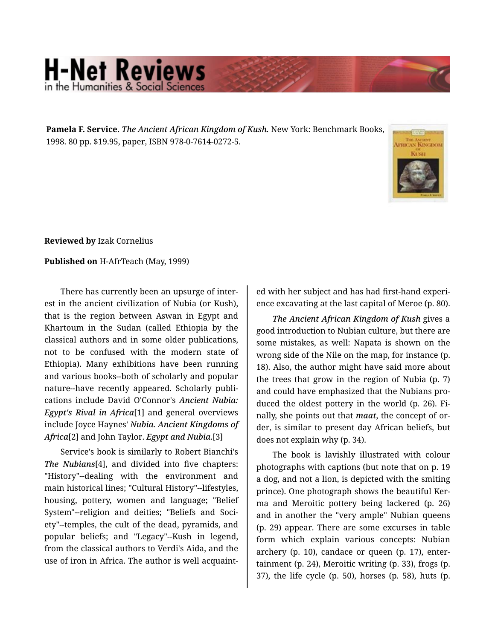## **H-Net Reviews** in the Humanities & Social Scien

**Pamela F. Service.** *The Ancient African Kingdom of Kush.* New York: Benchmark Books, 1998. 80 pp. \$19.95, paper, ISBN 978-0-7614-0272-5.



**Reviewed by** Izak Cornelius

**Published on** H-AfrTeach (May, 1999)

There has currently been an upsurge of inter‐ est in the ancient civilization of Nubia (or Kush), that is the region between Aswan in Egypt and Khartoum in the Sudan (called Ethiopia by the classical authors and in some older publications, not to be confused with the modern state of Ethiopia). Many exhibitions have been running and various books--both of scholarly and popular nature--have recently appeared. Scholarly publi‐ cations include David O'Connor's *Ancient Nubia: Egypt's Rival in Africa*[1] and general overviews include Joyce Haynes' *Nubia. Ancient Kingdoms of Africa*[2] and John Taylor. *Egypt and Nubia*.[3]

Service's book is similarly to Robert Bianchi's *The Nubians*[4], and divided into five chapters: "History"--dealing with the environment and main historical lines; "Cultural History"--lifestyles, housing, pottery, women and language; "Belief System"--religion and deities; "Beliefs and Soci‐ ety"--temples, the cult of the dead, pyramids, and popular beliefs; and "Legacy"--Kush in legend, from the classical authors to Verdi's Aida, and the use of iron in Africa. The author is well acquaint‐

ed with her subject and has had first-hand experi‐ ence excavating at the last capital of Meroe (p. 80).

*The Ancient African Kingdom of Kush* gives a good introduction to Nubian culture, but there are some mistakes, as well: Napata is shown on the wrong side of the Nile on the map, for instance (p. 18). Also, the author might have said more about the trees that grow in the region of Nubia (p. 7) and could have emphasized that the Nubians pro‐ duced the oldest pottery in the world (p. 26). Fi‐ nally, she points out that *maat*, the concept of or‐ der, is similar to present day African beliefs, but does not explain why (p. 34).

The book is lavishly illustrated with colour photographs with captions (but note that on p. 19 a dog, and not a lion, is depicted with the smiting prince). One photograph shows the beautiful Ker‐ ma and Meroitic pottery being lackered (p. 26) and in another the "very ample" Nubian queens (p. 29) appear. There are some excurses in table form which explain various concepts: Nubian archery (p. 10), candace or queen (p. 17), enter‐ tainment (p. 24), Meroitic writing (p. 33), frogs (p. 37), the life cycle (p. 50), horses (p. 58), huts (p.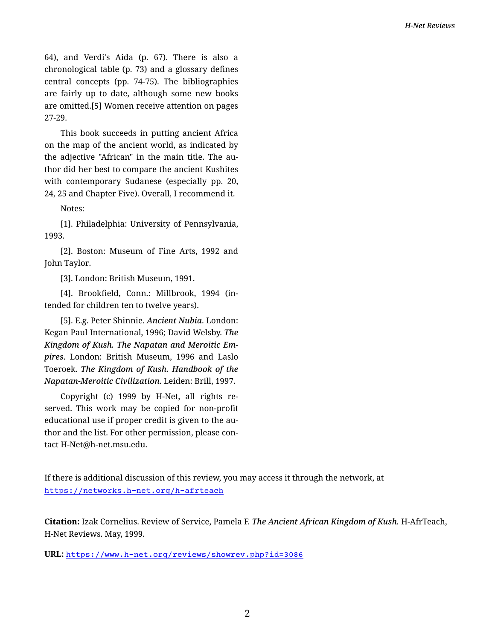64), and Verdi's Aida (p. 67). There is also a chronological table (p. 73) and a glossary defines central concepts (pp. 74-75). The bibliographies are fairly up to date, although some new books are omitted.[5] Women receive attention on pages 27-29.

This book succeeds in putting ancient Africa on the map of the ancient world, as indicated by the adjective "African" in the main title. The au‐ thor did her best to compare the ancient Kushites with contemporary Sudanese (especially pp. 20, 24, 25 and Chapter Five). Overall, I recommend it.

Notes:

[1]. Philadelphia: University of Pennsylvania, 1993.

[2]. Boston: Museum of Fine Arts, 1992 and John Taylor.

[3]. London: British Museum, 1991.

[4]. Brookfield, Conn.: Millbrook, 1994 (in‐ tended for children ten to twelve years).

[5]. E.g. Peter Shinnie. *Ancient Nubia*. London: Kegan Paul International, 1996; David Welsby. *The Kingdom of Kush. The Napatan and Meroitic Em‐ pires*. London: British Museum, 1996 and Laslo Toeroek. *The Kingdom of Kush. Handbook of the Napatan-Meroitic Civilization*. Leiden: Brill, 1997.

Copyright (c) 1999 by H-Net, all rights re‐ served. This work may be copied for non-profit educational use if proper credit is given to the au‐ thor and the list. For other permission, please con‐ tact H-Net@h-net.msu.edu.

If there is additional discussion of this review, you may access it through the network, at <https://networks.h-net.org/h-afrteach>

**Citation:** Izak Cornelius. Review of Service, Pamela F. *The Ancient African Kingdom of Kush.* H-AfrTeach, H-Net Reviews. May, 1999.

**URL:** <https://www.h-net.org/reviews/showrev.php?id=3086>